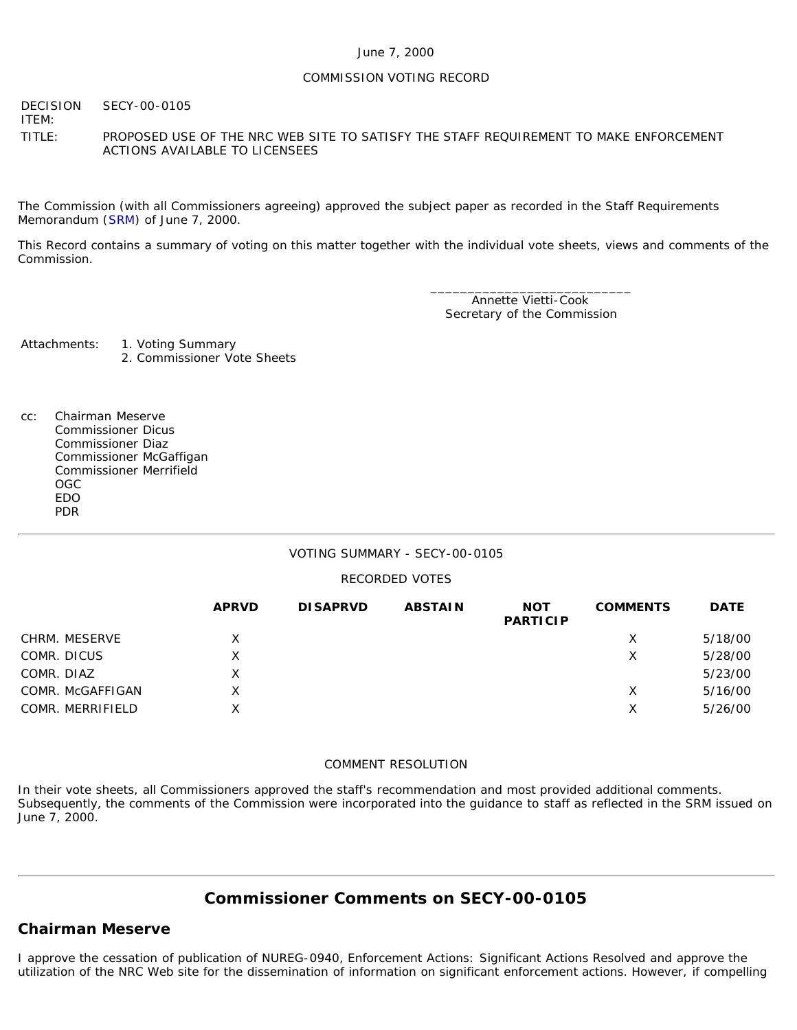### June 7, 2000

### COMMISSION VOTING RECORD

**DECISION** ITEM: SECY-00-0105 TITLE: PROPOSED USE OF THE NRC WEB SITE TO SATISFY THE STAFF REQUIREMENT TO MAKE ENFORCEMENT ACTIONS AVAILABLE TO LICENSEES

The Commission (with all Commissioners agreeing) approved the subject paper as recorded in the Staff Requirements Memorandum ([SRM\)](http://www.nrc.gov/reading-rm/doc-collections/commission/srm/2000/2000-0105srm.html) of June 7, 2000.

This Record contains a summary of voting on this matter together with the individual vote sheets, views and comments of the Commission.

> \_\_\_\_\_\_\_\_\_\_\_\_\_\_\_\_\_\_\_\_\_\_\_\_\_\_\_ Annette Vietti-Cook Secretary of the Commission

Attachments: 1. Voting Summary 2. Commissioner Vote Sheets

cc: Chairman Meserve Commissioner Dicus Commissioner Diaz Commissioner McGaffigan Commissioner Merrifield OGC EDO PDR

### VOTING SUMMARY - SECY-00-0105

### RECORDED VOTES

|                  | <b>APRVD</b> | <b>DISAPRVD</b> | <b>ABSTAIN</b> | <b>NOT</b><br><b>PARTICIP</b> | <b>COMMENTS</b> | <b>DATE</b> |
|------------------|--------------|-----------------|----------------|-------------------------------|-----------------|-------------|
| CHRM. MESERVE    | X            |                 |                |                               | х               | 5/18/00     |
| COMR. DICUS      | Χ            |                 |                |                               | X               | 5/28/00     |
| COMR. DIAZ       | X            |                 |                |                               |                 | 5/23/00     |
| COMR. McGAFFIGAN | x            |                 |                |                               | X               | 5/16/00     |
| COMR. MERRIFIELD | Χ            |                 |                |                               | X               | 5/26/00     |

#### COMMENT RESOLUTION

In their vote sheets, all Commissioners approved the staff's recommendation and most provided additional comments. Subsequently, the comments of the Commission were incorporated into the guidance to staff as reflected in the SRM issued on June 7, 2000.

# **Commissioner Comments on [SECY-00-0105](http://www.nrc.gov/reading-rm/doc-collections/commission/secys/2000/secy2000-0105/2000-0105scy.html)**

### **Chairman Meserve**

I approve the cessation of publication of NUREG-0940, Enforcement Actions: Significant Actions Resolved and approve the utilization of the NRC Web site for the dissemination of information on significant enforcement actions. However, if compelling